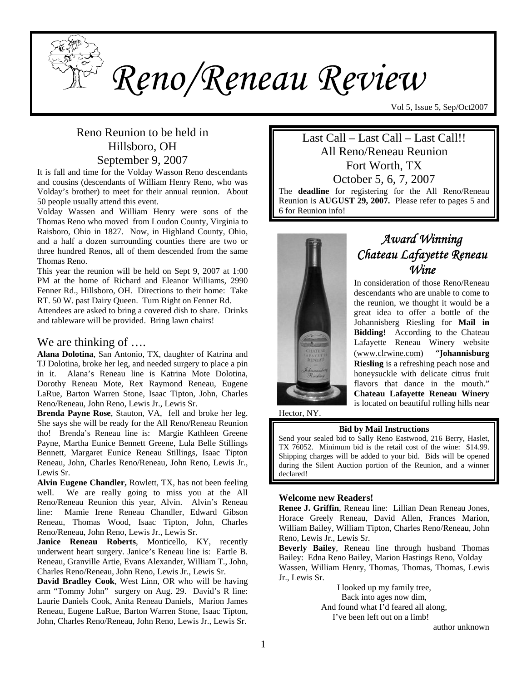

*Reno/Reneau Review* 

Vol 5, Issue 5, Sep/Oct2007

### Reno Reunion to be held in Hillsboro, OH September 9, 2007

It is fall and time for the Volday Wasson Reno descendants and cousins (descendants of William Henry Reno, who was Volday's brother) to meet for their annual reunion. About 50 people usually attend this event.

Volday Wassen and William Henry were sons of the Thomas Reno who moved from Loudon County, Virginia to Raisboro, Ohio in 1827. Now, in Highland County, Ohio, and a half a dozen surrounding counties there are two or three hundred Renos, all of them descended from the same Thomas Reno.

This year the reunion will be held on Sept 9, 2007 at 1:00 PM at the home of Richard and Eleanor Williams, 2990 Fenner Rd., Hillsboro, OH. Directions to their home: Take RT. 50 W. past Dairy Queen. Turn Right on Fenner Rd.

Attendees are asked to bring a covered dish to share. Drinks and tableware will be provided. Bring lawn chairs!

#### We are thinking of ....

**Alana Dolotina**, San Antonio, TX, daughter of Katrina and TJ Dolotina, broke her leg, and needed surgery to place a pin in it. Alana's Reneau line is Katrina Mote Dolotina, Dorothy Reneau Mote, Rex Raymond Reneau, Eugene LaRue, Barton Warren Stone, Isaac Tipton, John, Charles Reno/Reneau, John Reno, Lewis Jr., Lewis Sr.

**Brenda Payne Rose**, Stauton, VA, fell and broke her leg. She says she will be ready for the All Reno/Reneau Reunion tho! Brenda's Reneau line is: Margie Kathleen Greene Payne, Martha Eunice Bennett Greene, Lula Belle Stillings Bennett, Margaret Eunice Reneau Stillings, Isaac Tipton Reneau, John, Charles Reno/Reneau, John Reno, Lewis Jr., Lewis Sr.

**Alvin Eugene Chandler,** Rowlett, TX, has not been feeling well. We are really going to miss you at the All Reno/Reneau Reunion this year, Alvin. Alvin's Reneau line: Mamie Irene Reneau Chandler, Edward Gibson Reneau, Thomas Wood, Isaac Tipton, John, Charles Reno/Reneau, John Reno, Lewis Jr., Lewis Sr.

**Janice Reneau Roberts**, Monticello, KY, recently underwent heart surgery. Janice's Reneau line is: Eartle B. Reneau, Granville Artie, Evans Alexander, William T., John, Charles Reno/Reneau, John Reno, Lewis Jr., Lewis Sr.

**David Bradley Cook**, West Linn, OR who will be having arm "Tommy John" surgery on Aug. 29. David's R line: Laurie Daniels Cook, Anita Reneau Daniels, Marion James Reneau, Eugene LaRue, Barton Warren Stone, Isaac Tipton, John, Charles Reno/Reneau, John Reno, Lewis Jr., Lewis Sr.

### Last Call – Last Call – Last Call!! All Reno/Reneau Reunion Fort Worth, TX October 5, 6, 7, 2007

The **deadline** for registering for the All Reno/Reneau Reunion is **AUGUST 29, 2007.** Please refer to pages 5 and 6 for Reunion info!



# *Award Winning Chateau Lafayette Reneau Wine*

In consideration of those Reno/Reneau descendants who are unable to come to the reunion, we thought it would be a great idea to offer a bottle of the Johannisberg Riesling for **Mail in Bidding!** According to the Chateau Lafayette Reneau Winery website ([www.clrwine.com\)](http://www.clrwine.com/) **"Johannisburg Riesling** is a refreshing peach nose and honeysuckle with delicate citrus fruit flavors that dance in the mouth." **Chateau Lafayette Reneau Winery** is located on beautiful rolling hills near

Hector, NY.

#### **Bid by Mail Instructions**

Send your sealed bid to Sally Reno Eastwood, 216 Berry, Haslet, TX 76052. Minimum bid is the retail cost of the wine: \$14.99. Shipping charges will be added to your bid. Bids will be opened during the Silent Auction portion of the Reunion, and a winner declared!

#### **Welcome new Readers!**

**Renee J. Griffin**, Reneau line: Lillian Dean Reneau Jones, Horace Greely Reneau, David Allen, Frances Marion, William Bailey, William Tipton, Charles Reno/Reneau, John Reno, Lewis Jr., Lewis Sr.

**Beverly Bailey**, Reneau line through husband Thomas Bailey: Edna Reno Bailey, Marion Hastings Reno, Volday Wassen, William Henry, Thomas, Thomas, Thomas, Lewis Jr., Lewis Sr.

> I looked up my family tree, Back into ages now dim, And found what I'd feared all along, I've been left out on a limb!

author unknown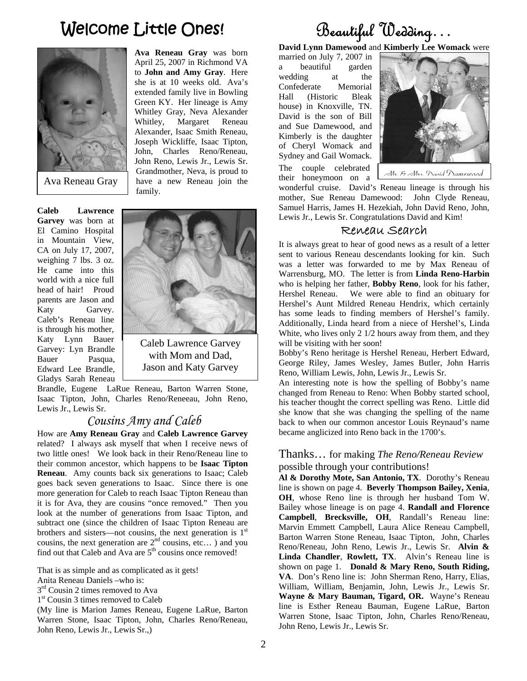# Welcome Little Ones!

family.



Ava Reneau Gray

**Caleb Lawrence Garvey** was born at El Camino Hospital in Mountain View, CA on July 17, 2007, weighing 7 lbs. 3 oz. He came into this world with a nice full head of hair! Proud parents are Jason and Katy Garvey. Caleb's Reneau line is through his mother, Katy Lynn Bauer Garvey: Lyn Brandle Bauer Pasqua, Edward Lee Brandle, Gladys Sarah Reneau



**Ava Reneau Gray** was born April 25, 2007 in Richmond VA to **John and Amy Gray**. Here she is at 10 weeks old. Ava's extended family live in Bowling Green KY. Her lineage is Amy Whitley Gray, Neva Alexander Whitley, Margaret Reneau Alexander, Isaac Smith Reneau, Joseph Wickliffe, Isaac Tipton, John, Charles Reno/Reneau, John Reno, Lewis Jr., Lewis Sr. Grandmother, Neva, is proud to have a new Reneau join the

Caleb Lawrence Garvey | will be visiting with her soon! with Mom and Dad, Jason and Katy Garvey

Brandle, Eugene LaRue Reneau, Barton Warren Stone, Isaac Tipton, John, Charles Reno/Reneeau, John Reno, Lewis Jr., Lewis Sr.

## *Cousins Amy and Caleb*

How are **Amy Reneau Gray** and **Caleb Lawrence Garvey** related? I always ask myself that when I receive news of two little ones! We look back in their Reno/Reneau line to their common ancestor, which happens to be **Isaac Tipton Reneau**. Amy counts back six generations to Isaac; Caleb goes back seven generations to Isaac. Since there is one more generation for Caleb to reach Isaac Tipton Reneau than it is for Ava, they are cousins "once removed." Then you look at the number of generations from Isaac Tipton, and subtract one (since the children of Isaac Tipton Reneau are brothers and sisters—not cousins, the next generation is  $1<sup>st</sup>$ cousins, the next generation are  $2<sup>nd</sup>$  cousins, etc...) and you find out that Caleb and Ava are 5<sup>th</sup> cousins once removed!

That is as simple and as complicated as it gets!

Anita Reneau Daniels –who is:

3<sup>rd</sup> Cousin 2 times removed to Ava

1<sup>st</sup> Cousin 3 times removed to Caleb

(My line is Marion James Reneau, Eugene LaRue, Barton Warren Stone, Isaac Tipton, John, Charles Reno/Reneau, John Reno, Lewis Jr., Lewis Sr.,)

# Beautiful Wedding…

**David Lynn Damewood** and **Kimberly Lee Womack** were

married on July 7, 2007 in a beautiful garden wedding at the Confederate Memorial Hall (Historic Bleak house) in Knoxville, TN. David is the son of Bill and Sue Damewood, and Kimberly is the daughter of Cheryl Womack and Sydney and Gail Womack. The couple celebrated



their honeymoon on a

*Mr. &Mrs. DavidDamewood*

wonderful cruise. David's Reneau lineage is through his mother, Sue Reneau Damewood: John Clyde Reneau, Samuel Harris, James H. Hezekiah, John David Reno, John, Lewis Jr., Lewis Sr. Congratulations David and Kim!

#### Reneau Search

It is always great to hear of good news as a result of a letter sent to various Reneau descendants looking for kin. Such was a letter was forwarded to me by Max Reneau of Warrensburg, MO. The letter is from **Linda Reno-Harbin**  who is helping her father, **Bobby Reno**, look for his father, Hershel Reneau. We were able to find an obituary for Hershel's Aunt Mildred Reneau Hendrix, which certainly has some leads to finding members of Hershel's family. Additionally, Linda heard from a niece of Hershel's, Linda White, who lives only 2 1/2 hours away from them, and they

Bobby's Reno heritage is Hershel Reneau, Herbert Edward, George Riley, James Wesley, James Butler, John Harris Reno, William Lewis, John, Lewis Jr., Lewis Sr.

An interesting note is how the spelling of Bobby's name changed from Reneau to Reno: When Bobby started school, his teacher thought the correct spelling was Reno. Little did she know that she was changing the spelling of the name back to when our common ancestor Louis Reynaud's name became anglicized into Reno back in the 1700's.

#### Thanks… for making *The Reno/Reneau Review* possible through your contributions!

**Al & Dorothy Mote, San Antonio, TX**. Dorothy's Reneau line is shown on page 4. **Beverly Thompson Bailey, Xenia**, **OH**, whose Reno line is through her husband Tom W. Bailey whose lineage is on page 4. **Randall and Florence Campbell**, **Brecksville, OH**, Randall's Reneau line: Marvin Emmett Campbell, Laura Alice Reneau Campbell, Barton Warren Stone Reneau, Isaac Tipton, John, Charles Reno/Reneau, John Reno, Lewis Jr., Lewis Sr. **Alvin & Linda Chandler**, **Rowlett, TX**. Alvin's Reneau line is shown on page 1. **Donald & Mary Reno, South Riding, VA**. Don's Reno line is: John Sherman Reno, Harry, Elias, William, William, Benjamin, John, Lewis Jr., Lewis Sr. **Wayne & Mary Bauman, Tigard, OR.** Wayne's Reneau line is Esther Reneau Bauman, Eugene LaRue, Barton Warren Stone, Isaac Tipton, John, Charles Reno/Reneau, John Reno, Lewis Jr., Lewis Sr.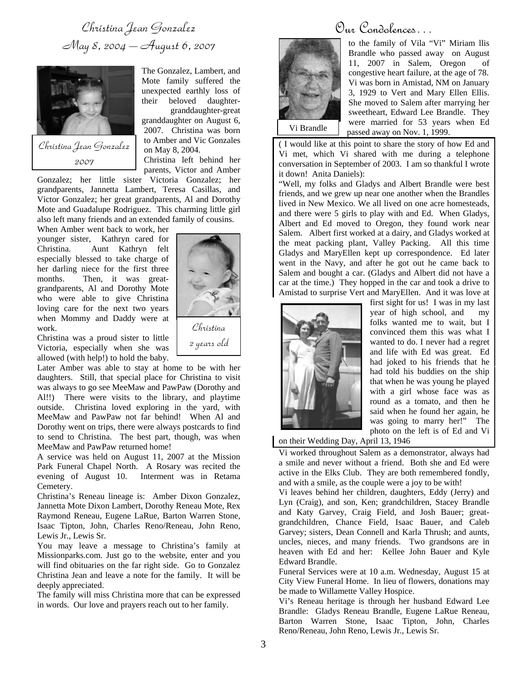*Christina Jean Gonzalez May 8, 2004 – August 6, 2007* 



*Christina Jean Gonzalez 2007* 

The Gonzalez, Lambert, and Mote family suffered the unexpected earthly loss of their beloved daughter-

granddaughter-great granddaughter on August 6, 2007. Christina was born to Amber and Vic Gonzales on May 8, 2004.

Christina left behind her parents, Victor and Amber

Gonzalez; her little sister Victoria Gonzalez; her grandparents, Jannetta Lambert, Teresa Casillas, and Victor Gonzalez; her great grandparents, Al and Dorothy Mote and Guadalupe Rodriguez. This charming little girl also left many friends and an extended family of cousins.

When Amber went back to work, her younger sister, Kathryn cared for Christina. Aunt Kathryn felt especially blessed to take charge of her darling niece for the first three months. Then, it was greatgrandparents, Al and Dorothy Mote who were able to give Christina loving care for the next two years when Mommy and Daddy were at work.

Christina was a proud sister to little Victoria, especially when she was allowed (with help!) to hold the baby.

Later Amber was able to stay at home to be with her daughters. Still, that special place for Christina to visit was always to go see MeeMaw and PawPaw (Dorothy and Al!!) There were visits to the library, and playtime outside. Christina loved exploring in the yard, with MeeMaw and PawPaw not far behind! When Al and Dorothy went on trips, there were always postcards to find to send to Christina. The best part, though, was when MeeMaw and PawPaw returned home!

A service was held on August 11, 2007 at the Mission Park Funeral Chapel North. A Rosary was recited the evening of August 10. Interment was in Retama Cemetery.

Christina's Reneau lineage is: Amber Dixon Gonzalez, Jannetta Mote Dixon Lambert, Dorothy Reneau Mote, Rex Raymond Reneau, Eugene LaRue, Barton Warren Stone, Isaac Tipton, John, Charles Reno/Reneau, John Reno, Lewis Jr., Lewis Sr.

You may leave a message to Christina's family at Missionparks.com. Just go to the website, enter and you will find obituaries on the far right side. Go to Gonzalez Christina Jean and leave a note for the family. It will be deeply appreciated.

The family will miss Christina more that can be expressed in words. Our love and prayers reach out to her family.



# Our Condolences…



to the family of Vila "Vi" Miriam llis Brandle who passed away on August 11, 2007 in Salem, Oregon of congestive heart failure, at the age of 78. Vi was born in Amistad, NM on January 3, 1929 to Vert and Mary Ellen Ellis. She moved to Salem after marrying her sweetheart, Edward Lee Brandle. They were married for 53 years when Ed Vi Brandle passed away on Nov. 1, 1999.

( I would like at this point to share the story of how Ed and Vi met, which Vi shared with me during a telephone conversation in September of 2003. I am so thankful I wrote it down! Anita Daniels):

"Well, my folks and Gladys and Albert Brandle were best friends, and we grew up near one another when the Brandles lived in New Mexico. We all lived on one acre homesteads, and there were 5 girls to play with and Ed. When Gladys, Albert and Ed moved to Oregon, they found work near Salem. Albert first worked at a dairy, and Gladys worked at the meat packing plant, Valley Packing. All this time Gladys and MaryEllen kept up correspondence. Ed later went in the Navy, and after he got out he came back to Salem and bought a car. (Gladys and Albert did not have a car at the time.) They hopped in the car and took a drive to Amistad to surprise Vert and MaryEllen. And it was love at



first sight for us! I was in my last year of high school, and my folks wanted me to wait, but I convinced them this was what I wanted to do. I never had a regret and life with Ed was great. Ed had joked to his friends that he had told his buddies on the ship that when he was young he played with a girl whose face was as round as a tomato, and then he said when he found her again, he was going to marry her!" The photo on the left is of Ed and Vi

on their Wedding Day, April 13, 1946

Vi worked throughout Salem as a demonstrator, always had a smile and never without a friend. Both she and Ed were active in the Elks Club. They are both remembered fondly, and with a smile, as the couple were a joy to be with!

Vi leaves behind her children, daughters, Eddy (Jerry) and Lyn (Craig), and son, Ken; grandchildren, Stacey Brandle and Katy Garvey, Craig Field, and Josh Bauer; greatgrandchildren, Chance Field, Isaac Bauer, and Caleb Garvey; sisters, Dean Connell and Karla Thrush; and aunts, uncles, nieces, and many friends. Two grandsons are in heaven with Ed and her: Kellee John Bauer and Kyle Edward Brandle.

Funeral Services were at 10 a.m. Wednesday, August 15 at City View Funeral Home. In lieu of flowers, donations may be made to Willamette Valley Hospice.

Vi's Reneau heritage is through her husband Edward Lee Brandle: Gladys Reneau Brandle, Eugene LaRue Reneau, Barton Warren Stone, Isaac Tipton, John, Charles Reno/Reneau, John Reno, Lewis Jr., Lewis Sr.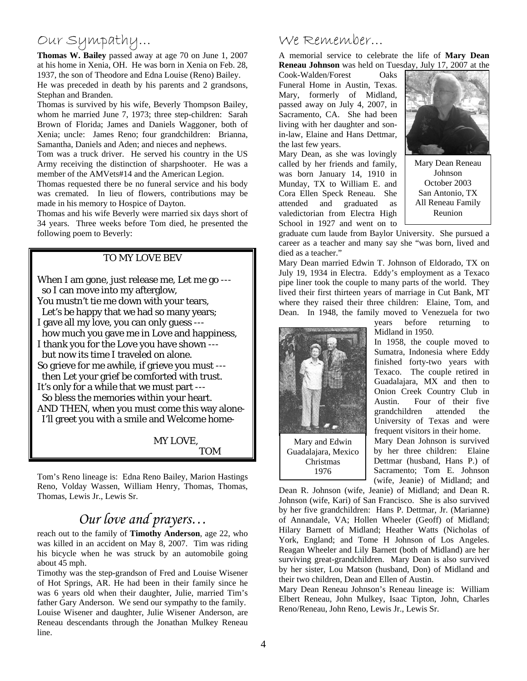# Our Sympathy…

**Thomas W. Bailey** passed away at age 70 on June 1, 2007 at his home in Xenia, OH. He was born in Xenia on Feb. 28, 1937, the son of Theodore and Edna Louise (Reno) Bailey.

He was preceded in death by his parents and 2 grandsons, Stephan and Branden.

Thomas is survived by his wife, Beverly Thompson Bailey, whom he married June 7, 1973; three step-children: Sarah Brown of Florida; James and Daniels Waggoner, both of Xenia; uncle: James Reno; four grandchildren: Brianna, Samantha, Daniels and Aden; and nieces and nephews.

Tom was a truck driver. He served his country in the US Army receiving the distinction of sharpshooter. He was a member of the AMVets#14 and the American Legion.

Thomas requested there be no funeral service and his body was cremated. In lieu of flowers, contributions may be made in his memory to Hospice of Dayton.

Thomas and his wife Beverly were married six days short of 34 years. Three weeks before Tom died, he presented the following poem to Beverly:

#### TO MY LOVE BEV

When I am gone, just release me, Let me go -- so I can move into my afterglow, You mustn't tie me down with your tears, Let's be happy that we had so many years; I gave all my love, you can only guess -- how much you gave me in Love and happiness, I thank you for the Love you have shown -- but now its time I traveled on alone. So grieve for me awhile, if grieve you must -- then Let your grief be comforted with trust. It's only for a while that we must part --- So bless the memories within your heart. AND THEN, when you must come this way alone- I'll greet you with a smile and Welcome home-

 MY LOVE, TOM

Tom's Reno lineage is: Edna Reno Bailey, Marion Hastings Reno, Volday Wassen, William Henry, Thomas, Thomas, Thomas, Lewis Jr., Lewis Sr.

# *Our love and prayers…*

reach out to the family of **Timothy Anderson**, age 22, who was killed in an accident on May 8, 2007. Tim was riding his bicycle when he was struck by an automobile going about 45 mph.

Timothy was the step-grandson of Fred and Louise Wisener of Hot Springs, AR. He had been in their family since he was 6 years old when their daughter, Julie, married Tim's father Gary Anderson. We send our sympathy to the family. Louise Wisener and daughter, Julie Wisener Anderson, are Reneau descendants through the Jonathan Mulkey Reneau line.

### We Remember…

A memorial service to celebrate the life of **Mary Dean Reneau Johnson** was held on Tuesday, July 17, 2007 at the

Cook-Walden/Forest Oaks Funeral Home in Austin, Texas. Mary, formerly of Midland, passed away on July 4, 2007, in Sacramento, CA. She had been living with her daughter and sonin-law, Elaine and Hans Dettmar, the last few years.

Mary Dean, as she was lovingly called by her friends and family, was born January 14, 1910 in Munday, TX to William E. and Cora Ellen Speck Reneau. She attended and graduated as valedictorian from Electra High School in 1927 and went on to



Mary Dean Reneau Johnson October 2003 San Antonio, TX All Reneau Family Reunion

graduate cum laude from Baylor University. She pursued a career as a teacher and many say she "was born, lived and died as a teacher."

Mary Dean married Edwin T. Johnson of Eldorado, TX on July 19, 1934 in Electra. Eddy's employment as a Texaco pipe liner took the couple to many parts of the world. They lived their first thirteen years of marriage in Cut Bank, MT where they raised their three children: Elaine, Tom, and Dean. In 1948, the family moved to Venezuela for two



Mary and Edwin Guadalajara, Mexico Christmas 1976

years before returning to Midland in 1950.

In 1958, the couple moved to Sumatra, Indonesia where Eddy finished forty-two years with Texaco. The couple retired in Guadalajara, MX and then to Onion Creek Country Club in Austin. Four of their five grandchildren attended the University of Texas and were frequent visitors in their home.

Mary Dean Johnson is survived by her three children: Elaine Dettmar (husband, Hans P.) of Sacramento; Tom E. Johnson (wife, Jeanie) of Midland; and

Dean R. Johnson (wife, Jeanie) of Midland; and Dean R. Johnson (wife, Kari) of San Francisco. She is also survived by her five grandchildren: Hans P. Dettmar, Jr. (Marianne) of Annandale, VA; Hollen Wheeler (Geoff) of Midland; Hilary Barnett of Midland; Heather Watts (Nicholas of York, England; and Tome H Johnson of Los Angeles. Reagan Wheeler and Lily Barnett (both of Midland) are her surviving great-grandchildren. Mary Dean is also survived by her sister, Lou Matson (husband, Don) of Midland and their two children, Dean and Ellen of Austin.

Mary Dean Reneau Johnson's Reneau lineage is: William Elbert Reneau, John Mulkey, Isaac Tipton, John, Charles Reno/Reneau, John Reno, Lewis Jr., Lewis Sr.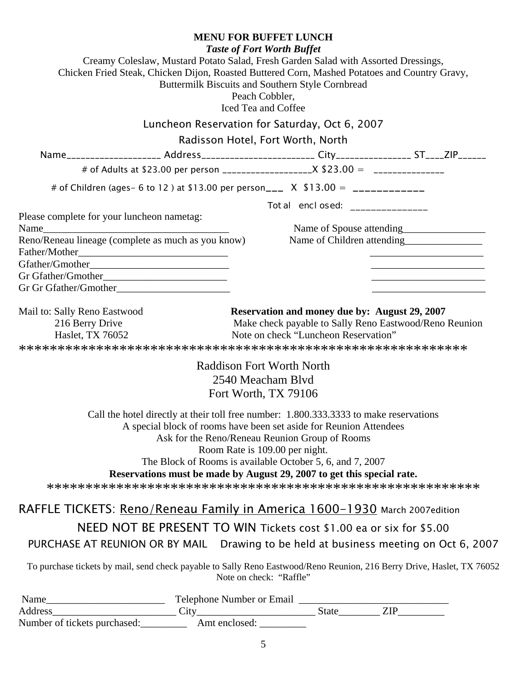#### **MENU FOR BUFFET LUNCH**

*Taste of Fort Worth Buffet* 

|                                                                     | <b>Laste of Fort worth Buffet</b><br>Creamy Coleslaw, Mustard Potato Salad, Fresh Garden Salad with Assorted Dressings,<br>Chicken Fried Steak, Chicken Dijon, Roasted Buttered Corn, Mashed Potatoes and Country Gravy,                                                                                                                                                                |                                                                                                                                                 |                                                                                           |  |
|---------------------------------------------------------------------|-----------------------------------------------------------------------------------------------------------------------------------------------------------------------------------------------------------------------------------------------------------------------------------------------------------------------------------------------------------------------------------------|-------------------------------------------------------------------------------------------------------------------------------------------------|-------------------------------------------------------------------------------------------|--|
|                                                                     | Buttermilk Biscuits and Southern Style Cornbread<br>Peach Cobbler,<br>Iced Tea and Coffee                                                                                                                                                                                                                                                                                               |                                                                                                                                                 |                                                                                           |  |
|                                                                     | Luncheon Reservation for Saturday, Oct 6, 2007                                                                                                                                                                                                                                                                                                                                          |                                                                                                                                                 |                                                                                           |  |
|                                                                     | Radisson Hotel, Fort Worth, North                                                                                                                                                                                                                                                                                                                                                       |                                                                                                                                                 |                                                                                           |  |
|                                                                     | Name______________________ Address__________________________ City_________________ ST____ZIP_______                                                                                                                                                                                                                                                                                     |                                                                                                                                                 |                                                                                           |  |
|                                                                     |                                                                                                                                                                                                                                                                                                                                                                                         |                                                                                                                                                 |                                                                                           |  |
|                                                                     | # of Children (ages - 6 to 12 ) at \$13.00 per person___ X \$13.00 = ____________                                                                                                                                                                                                                                                                                                       |                                                                                                                                                 |                                                                                           |  |
|                                                                     |                                                                                                                                                                                                                                                                                                                                                                                         | Total enclosed: _______________                                                                                                                 |                                                                                           |  |
| Please complete for your luncheon nametag:                          |                                                                                                                                                                                                                                                                                                                                                                                         |                                                                                                                                                 |                                                                                           |  |
|                                                                     |                                                                                                                                                                                                                                                                                                                                                                                         | Name of Spouse attending                                                                                                                        |                                                                                           |  |
|                                                                     | Reno/Reneau lineage (complete as much as you know)                                                                                                                                                                                                                                                                                                                                      | Name of Children attending                                                                                                                      |                                                                                           |  |
|                                                                     |                                                                                                                                                                                                                                                                                                                                                                                         |                                                                                                                                                 | the control of the control of the control of the control of the control of the control of |  |
|                                                                     |                                                                                                                                                                                                                                                                                                                                                                                         |                                                                                                                                                 | the control of the control of the control of the control of the control of the control of |  |
|                                                                     |                                                                                                                                                                                                                                                                                                                                                                                         |                                                                                                                                                 |                                                                                           |  |
| Mail to: Sally Reno Eastwood<br>216 Berry Drive<br>Haslet, TX 76052 |                                                                                                                                                                                                                                                                                                                                                                                         | Reservation and money due by: August 29, 2007<br>Make check payable to Sally Reno Eastwood/Reno Reunion<br>Note on check "Luncheon Reservation" |                                                                                           |  |
|                                                                     | <b>Raddison Fort Worth North</b><br>2540 Meacham Blvd<br>Fort Worth, TX 79106                                                                                                                                                                                                                                                                                                           |                                                                                                                                                 |                                                                                           |  |
|                                                                     | Call the hotel directly at their toll free number: 1.800.333.3333 to make reservations<br>A special block of rooms have been set aside for Reunion Attendees<br>Ask for the Reno/Reneau Reunion Group of Rooms<br>Room Rate is 109.00 per night.<br>The Block of Rooms is available October 5, 6, and 7, 2007<br>Reservations must be made by August 29, 2007 to get this special rate. |                                                                                                                                                 |                                                                                           |  |
|                                                                     | RAFFLE TICKETS: Reno/Reneau Family in America 1600–1930 March 2007edition                                                                                                                                                                                                                                                                                                               |                                                                                                                                                 |                                                                                           |  |
|                                                                     | NEED NOT BE PRESENT TO WIN Tickets cost \$1.00 ea or six for \$5.00                                                                                                                                                                                                                                                                                                                     |                                                                                                                                                 |                                                                                           |  |
|                                                                     | PURCHASE AT REUNION OR BY MAIL Drawing to be held at business meeting on Oct 6, 2007                                                                                                                                                                                                                                                                                                    |                                                                                                                                                 |                                                                                           |  |
|                                                                     | To purchase tickets by mail, send check payable to Sally Reno Eastwood/Reno Reunion, 216 Berry Drive, Haslet, TX 76052<br>Note on check: "Raffle"                                                                                                                                                                                                                                       |                                                                                                                                                 |                                                                                           |  |
|                                                                     |                                                                                                                                                                                                                                                                                                                                                                                         |                                                                                                                                                 |                                                                                           |  |
|                                                                     |                                                                                                                                                                                                                                                                                                                                                                                         |                                                                                                                                                 |                                                                                           |  |
|                                                                     |                                                                                                                                                                                                                                                                                                                                                                                         |                                                                                                                                                 |                                                                                           |  |